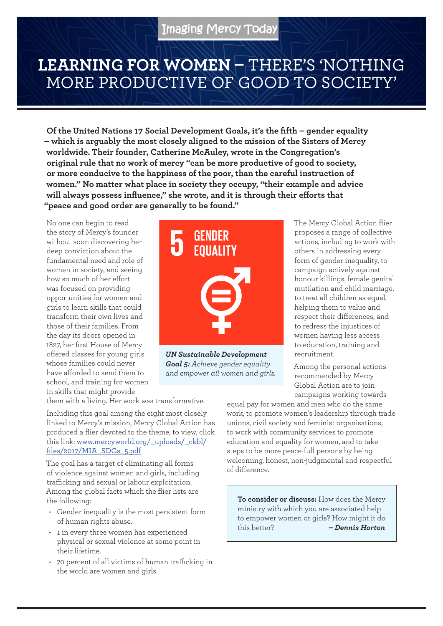## **LEARNING FOR WOMEN –** THERE'S 'NOTHING MORE PRODUCTIVE OF GOOD TO SOCIETY'

**Of the United Nations 17 Social Development Goals, it's the fifth – gender equality – which is arguably the most closely aligned to the mission of the Sisters of Mercy worldwide. Their founder, Catherine McAuley, wrote in the Congregation's original rule that no work of mercy "can be more productive of good to society, or more conducive to the happiness of the poor, than the careful instruction of women." No matter what place in society they occupy, "their example and advice will always possess influence," she wrote, and it is through their efforts that "peace and good order are generally to be found."**

No one can begin to read the story of Mercy's founder without soon discovering her deep conviction about the fundamental need and role of women in society, and seeing how so much of her effort was focused on providing opportunities for women and girls to learn skills that could transform their own lives and those of their families. From the day its doors opened in 1827, her first House of Mercy offered classes for young girls whose families could never have afforded to send them to school, and training for women in skills that might provide



*UN Sustainable Development Goal 5: Achieve gender equality and empower all women and girls.* 

The Mercy Global Action flier proposes a range of collective actions, including to work with others in addressing every form of gender inequality, to campaign actively against honour killings, female genital mutilation and child marriage, to treat all children as equal, helping them to value and respect their differences, and to redress the injustices of women having less access to education, training and recruitment.

Among the personal actions recommended by Mercy Global Action are to join campaigns working towards

them with a living. Her work was transformative.

Including this goal among the eight most closely linked to Mercy's mission, Mercy Global Action has produced a flier devoted to the theme; to view, click this link: [www.mercyworld.org/\\_uploads/\\_ckbl/](http://www.mercyworld.org/_uploads/_ckbl/files/2017/MIA_SDGs_5.pdf) files/2017/MIA\_SDGs\_5.pdf

The goal has a target of eliminating all forms of violence against women and girls, including trafficking and sexual or labour exploitation. Among the global facts which the flier lists are the following:

- Gender inequality is the most persistent form of human rights abuse.
- 1 in every three women has experienced physical or sexual violence at some point in their lifetime.
- 70 percent of all victims of human trafficking in the world are women and girls.

equal pay for women and men who do the same work, to promote women's leadership through trade unions, civil society and feminist organisations, to work with community services to promote education and equality for women, and to take steps to be more peace-full persons by being welcoming, honest, non-judgmental and respectful of difference.

**To consider or discuss:** How does the Mercy ministry with which you are associated help to empower women or girls? How might it do this better? *– Dennis Horton*